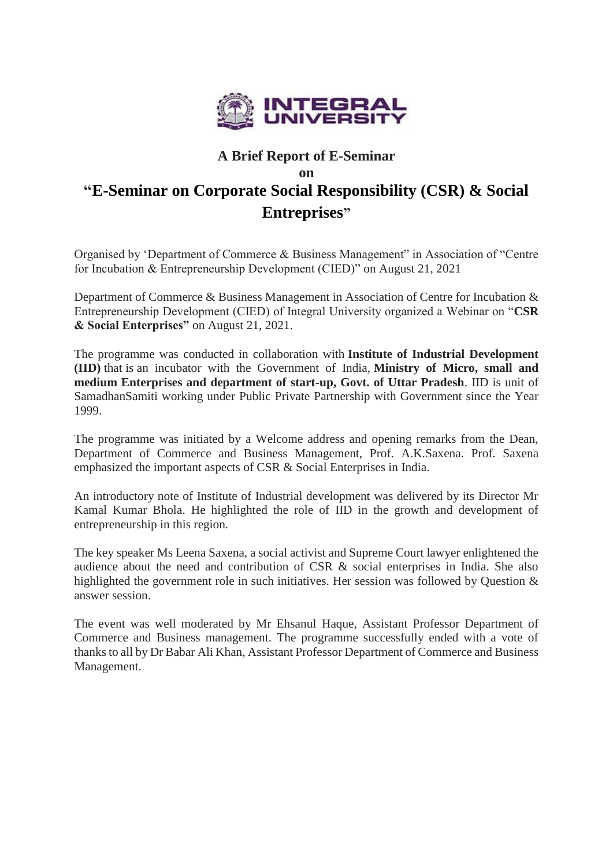

## **A Brief Report of E-Seminar on "E-Seminar on Corporate Social Responsibility (CSR) & Social Entreprises"**

Organised by 'Department of Commerce & Business Management" in Association of "Centre for Incubation & Entrepreneurship Development (CIED)" on August 21, 2021

Department of Commerce & Business Management in Association of Centre for Incubation & Entrepreneurship Development (CIED) of Integral University organized a Webinar on "**CSR & Social Enterprises"** on August 21, 2021.

The programme was conducted in collaboration with **Institute of Industrial Development (IID)** that is an incubator with the Government of India, **Ministry of Micro, small and medium Enterprises and department of start-up, Govt. of Uttar Pradesh**. IID is unit of SamadhanSamiti working under Public Private Partnership with Government since the Year 1999.

The programme was initiated by a Welcome address and opening remarks from the Dean, Department of Commerce and Business Management, Prof. A.K.Saxena. Prof. Saxena emphasized the important aspects of CSR & Social Enterprises in India.

An introductory note of Institute of Industrial development was delivered by its Director Mr Kamal Kumar Bhola. He highlighted the role of IID in the growth and development of entrepreneurship in this region.

The key speaker Ms Leena Saxena, a social activist and Supreme Court lawyer enlightened the audience about the need and contribution of CSR & social enterprises in India. She also highlighted the government role in such initiatives. Her session was followed by Question & answer session.

The event was well moderated by Mr Ehsanul Haque, Assistant Professor Department of Commerce and Business management. The programme successfully ended with a vote of thanks to all by Dr Babar Ali Khan, Assistant Professor Department of Commerce and Business Management.